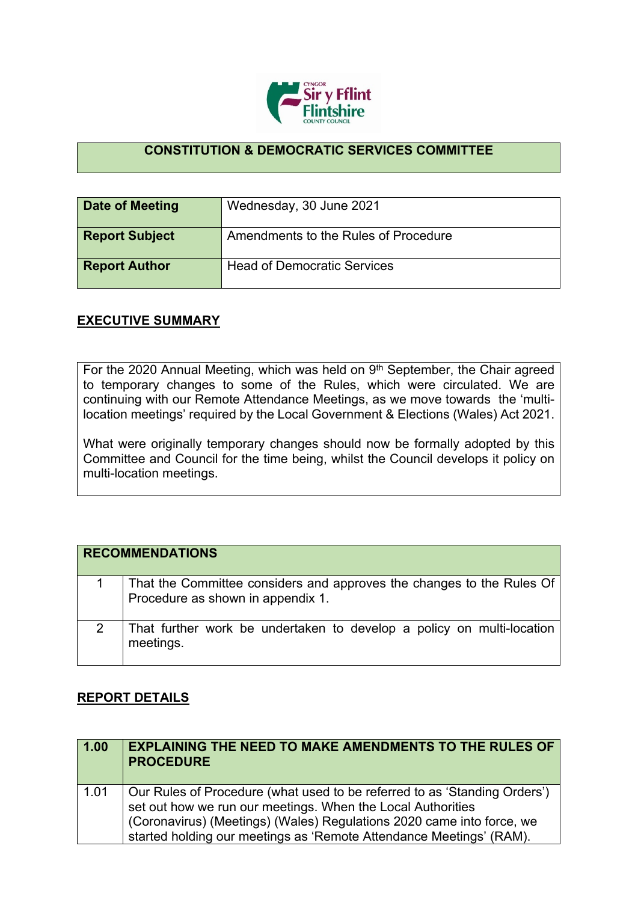

## **CONSTITUTION & DEMOCRATIC SERVICES COMMITTEE**

| Date of Meeting       | Wednesday, 30 June 2021              |
|-----------------------|--------------------------------------|
| <b>Report Subject</b> | Amendments to the Rules of Procedure |
| <b>Report Author</b>  | <b>Head of Democratic Services</b>   |

## **EXECUTIVE SUMMARY**

For the 2020 Annual Meeting, which was held on 9<sup>th</sup> September, the Chair agreed to temporary changes to some of the Rules, which were circulated. We are continuing with our Remote Attendance Meetings, as we move towards the 'multilocation meetings' required by the Local Government & Elections (Wales) Act 2021.

What were originally temporary changes should now be formally adopted by this Committee and Council for the time being, whilst the Council develops it policy on multi-location meetings.

|   | <b>RECOMMENDATIONS</b>                                                                                     |
|---|------------------------------------------------------------------------------------------------------------|
|   | That the Committee considers and approves the changes to the Rules Of<br>Procedure as shown in appendix 1. |
| 2 | That further work be undertaken to develop a policy on multi-location<br>meetings.                         |

## **REPORT DETAILS**

| 1.00 | <b>EXPLAINING THE NEED TO MAKE AMENDMENTS TO THE RULES OF</b><br><b>PROCEDURE</b>                                                                                                                                                                                                        |
|------|------------------------------------------------------------------------------------------------------------------------------------------------------------------------------------------------------------------------------------------------------------------------------------------|
| 1.01 | Our Rules of Procedure (what used to be referred to as 'Standing Orders')<br>set out how we run our meetings. When the Local Authorities<br>(Coronavirus) (Meetings) (Wales) Regulations 2020 came into force, we<br>started holding our meetings as 'Remote Attendance Meetings' (RAM). |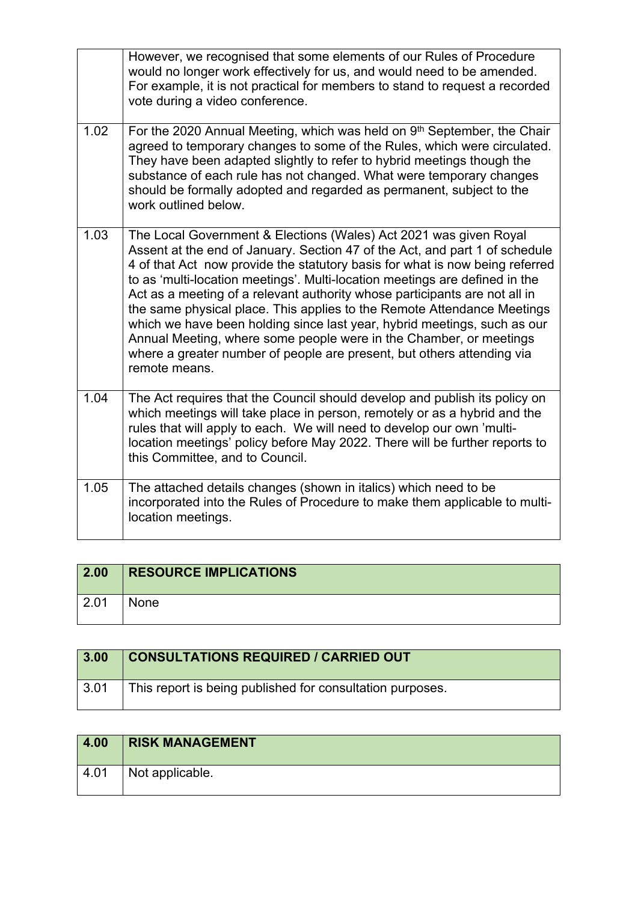|      | However, we recognised that some elements of our Rules of Procedure<br>would no longer work effectively for us, and would need to be amended.<br>For example, it is not practical for members to stand to request a recorded<br>vote during a video conference.                                                                                                                                                                                                                                                                                                                                                                                                                                                       |
|------|-----------------------------------------------------------------------------------------------------------------------------------------------------------------------------------------------------------------------------------------------------------------------------------------------------------------------------------------------------------------------------------------------------------------------------------------------------------------------------------------------------------------------------------------------------------------------------------------------------------------------------------------------------------------------------------------------------------------------|
| 1.02 | For the 2020 Annual Meeting, which was held on 9th September, the Chair<br>agreed to temporary changes to some of the Rules, which were circulated.<br>They have been adapted slightly to refer to hybrid meetings though the<br>substance of each rule has not changed. What were temporary changes<br>should be formally adopted and regarded as permanent, subject to the<br>work outlined below.                                                                                                                                                                                                                                                                                                                  |
| 1.03 | The Local Government & Elections (Wales) Act 2021 was given Royal<br>Assent at the end of January. Section 47 of the Act, and part 1 of schedule<br>4 of that Act now provide the statutory basis for what is now being referred<br>to as 'multi-location meetings'. Multi-location meetings are defined in the<br>Act as a meeting of a relevant authority whose participants are not all in<br>the same physical place. This applies to the Remote Attendance Meetings<br>which we have been holding since last year, hybrid meetings, such as our<br>Annual Meeting, where some people were in the Chamber, or meetings<br>where a greater number of people are present, but others attending via<br>remote means. |
| 1.04 | The Act requires that the Council should develop and publish its policy on<br>which meetings will take place in person, remotely or as a hybrid and the<br>rules that will apply to each. We will need to develop our own 'multi-<br>location meetings' policy before May 2022. There will be further reports to<br>this Committee, and to Council.                                                                                                                                                                                                                                                                                                                                                                   |
| 1.05 | The attached details changes (shown in italics) which need to be<br>incorporated into the Rules of Procedure to make them applicable to multi-<br>location meetings.                                                                                                                                                                                                                                                                                                                                                                                                                                                                                                                                                  |

| 2.00 | <b>RESOURCE IMPLICATIONS</b> |
|------|------------------------------|
| 2.01 | None                         |

| 3.00 | <b>CONSULTATIONS REQUIRED / CARRIED OUT</b>               |
|------|-----------------------------------------------------------|
| 3.01 | This report is being published for consultation purposes. |

| 4.00 | <b>RISK MANAGEMENT</b>       |
|------|------------------------------|
| 4.01 | <sup>1</sup> Not applicable. |